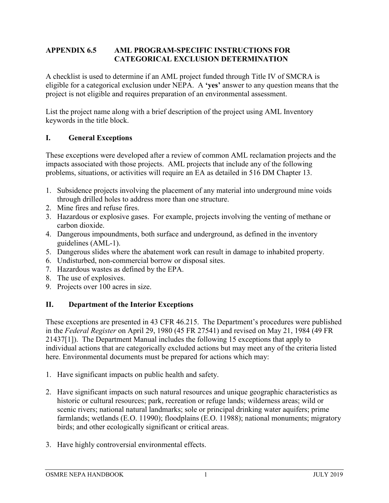## **APPENDIX 6.5 AML PROGRAM-SPECIFIC INSTRUCTIONS FOR CATEGORICAL EXCLUSION DETERMINATION**

A checklist is used to determine if an AML project funded through Title IV of SMCRA is eligible for a categorical exclusion under NEPA. A **'yes'** answer to any question means that the project is not eligible and requires preparation of an environmental assessment.

List the project name along with a brief description of the project using AML Inventory keywords in the title block.

# **I. General Exceptions**

These exceptions were developed after a review of common AML reclamation projects and the impacts associated with those projects. AML projects that include any of the following problems, situations, or activities will require an EA as detailed in 516 DM Chapter 13.

- 1. Subsidence projects involving the placement of any material into underground mine voids through drilled holes to address more than one structure.
- 2. Mine fires and refuse fires.
- 3. Hazardous or explosive gases. For example, projects involving the venting of methane or carbon dioxide.
- 4. Dangerous impoundments, both surface and underground, as defined in the inventory guidelines (AML-1).
- 5. Dangerous slides where the abatement work can result in damage to inhabited property.
- 6. Undisturbed, non-commercial borrow or disposal sites.
- 7. Hazardous wastes as defined by the EPA.
- 8. The use of explosives.
- 9. Projects over 100 acres in size.

# **II. Department of the Interior Exceptions**

These exceptions are presented in 43 CFR 46.215. The Department's procedures were published in the *Federal Register* on April 29, 1980 (45 FR 27541) and revised on May 21, 1984 (49 FR 21437[1]). The Department Manual includes the following 15 exceptions that apply to individual actions that are categorically excluded actions but may meet any of the criteria listed here. Environmental documents must be prepared for actions which may:

- 1. Have significant impacts on public health and safety.
- 2. Have significant impacts on such natural resources and unique geographic characteristics as historic or cultural resources; park, recreation or refuge lands; wilderness areas; wild or scenic rivers; national natural landmarks; sole or principal drinking water aquifers; prime farmlands; wetlands (E.O. 11990); floodplains (E.O. 11988); national monuments; migratory birds; and other ecologically significant or critical areas.
- 3. Have highly controversial environmental effects.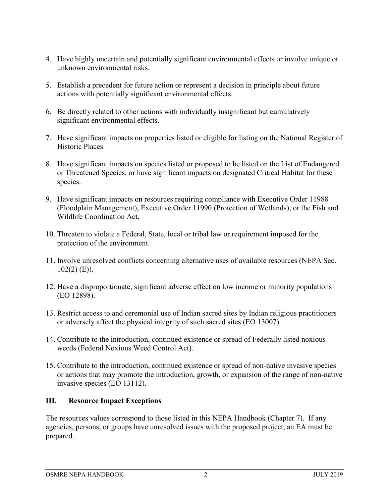- 4. Have highly uncertain and potentially significant environmental effects or involve unique or unknown environmental risks.
- 5. Establish a precedent for future action or represent a decision in principle about future actions with potentially significant environmental effects.
- 6. Be directly related to other actions with individually insignificant but cumulatively significant environmental effects.
- 7. Have significant impacts on properties listed or eligible for listing on the National Register of Historic Places.
- 8. Have significant impacts on species listed or proposed to be listed on the List of Endangered or Threatened Species, or have significant impacts on designated Critical Habitat for these species.
- 9. Have significant impacts on resources requiring compliance with Executive Order 11988 (Floodplain Management), Executive Order 11990 (Protection of Wetlands), or the Fish and Wildlife Coordination Act.
- 10. Threaten to violate a Federal, State, local or tribal law or requirement imposed for the protection of the environment.
- 11. Involve unresolved conflicts concerning alternative uses of available resources (NEPA Sec.  $102(2)$  (E)).
- 12. Have a disproportionate, significant adverse effect on low income or minority populations (EO 12898).
- 13. Restrict access to and ceremonial use of Indian sacred sites by Indian religious practitioners or adversely affect the physical integrity of such sacred sites (EO 13007).
- 14. Contribute to the introduction, continued existence or spread of Federally listed noxious weeds (Federal Noxious Weed Control Act).
- 15. Contribute to the introduction, continued existence or spread of non-native invasive species or actions that may promote the introduction, growth, or expansion of the range of non-native invasive species (EO 13112).

## **III. Resource Impact Exceptions**

The resources values correspond to those listed in this NEPA Handbook (Chapter 7). If any agencies, persons, or groups have unresolved issues with the proposed project, an EA must be prepared.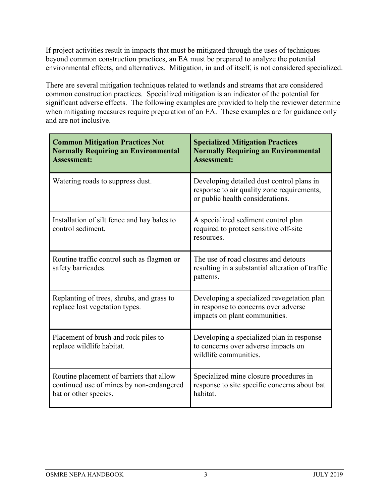If project activities result in impacts that must be mitigated through the uses of techniques beyond common construction practices, an EA must be prepared to analyze the potential environmental effects, and alternatives. Mitigation, in and of itself, is not considered specialized.

There are several mitigation techniques related to wetlands and streams that are considered common construction practices. Specialized mitigation is an indicator of the potential for significant adverse effects. The following examples are provided to help the reviewer determine when mitigating measures require preparation of an EA. These examples are for guidance only and are not inclusive.

| <b>Common Mitigation Practices Not</b><br><b>Normally Requiring an Environmental</b><br><b>Assessment:</b>    | <b>Specialized Mitigation Practices</b><br><b>Normally Requiring an Environmental</b><br><b>Assessment:</b>                 |
|---------------------------------------------------------------------------------------------------------------|-----------------------------------------------------------------------------------------------------------------------------|
| Watering roads to suppress dust.                                                                              | Developing detailed dust control plans in<br>response to air quality zone requirements,<br>or public health considerations. |
| Installation of silt fence and hay bales to<br>control sediment.                                              | A specialized sediment control plan<br>required to protect sensitive off-site<br>resources.                                 |
| Routine traffic control such as flagmen or<br>safety barricades.                                              | The use of road closures and detours<br>resulting in a substantial alteration of traffic<br>patterns.                       |
| Replanting of trees, shrubs, and grass to<br>replace lost vegetation types.                                   | Developing a specialized revegetation plan<br>in response to concerns over adverse<br>impacts on plant communities.         |
| Placement of brush and rock piles to<br>replace wildlife habitat.                                             | Developing a specialized plan in response<br>to concerns over adverse impacts on<br>wildlife communities.                   |
| Routine placement of barriers that allow<br>continued use of mines by non-endangered<br>bat or other species. | Specialized mine closure procedures in<br>response to site specific concerns about bat<br>habitat.                          |